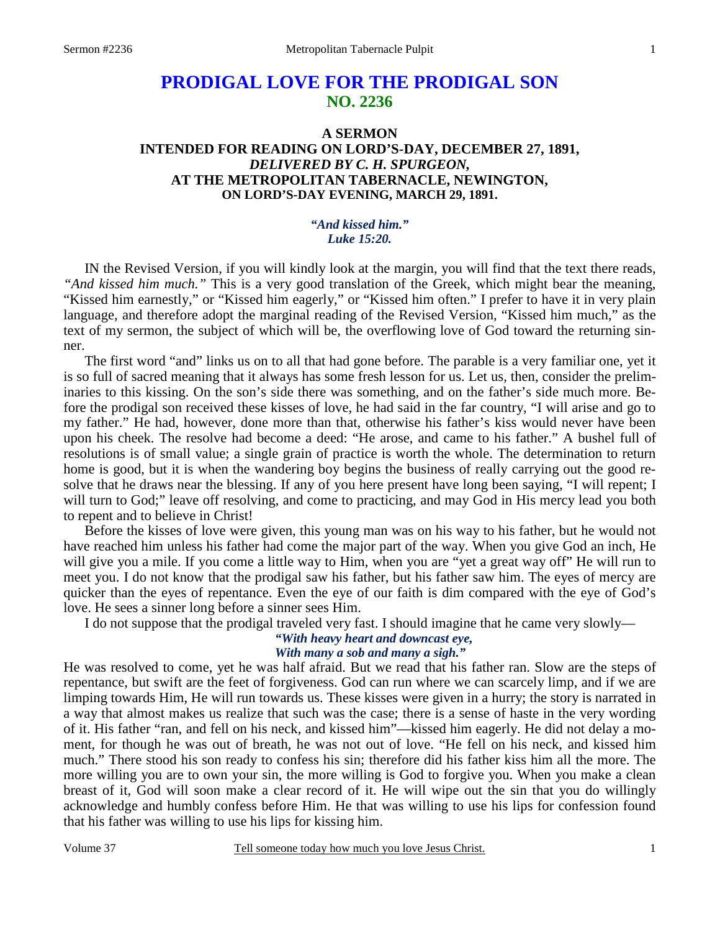## **PRODIGAL LOVE FOR THE PRODIGAL SON NO. 2236**

## **A SERMON INTENDED FOR READING ON LORD'S-DAY, DECEMBER 27, 1891,**  *DELIVERED BY C. H. SPURGEON,*  **AT THE METROPOLITAN TABERNACLE, NEWINGTON, ON LORD'S-DAY EVENING, MARCH 29, 1891.**

#### *"And kissed him." Luke 15:20.*

IN the Revised Version, if you will kindly look at the margin, you will find that the text there reads, *"And kissed him much."* This is a very good translation of the Greek, which might bear the meaning, "Kissed him earnestly," or "Kissed him eagerly," or "Kissed him often." I prefer to have it in very plain language, and therefore adopt the marginal reading of the Revised Version, "Kissed him much," as the text of my sermon, the subject of which will be, the overflowing love of God toward the returning sinner.

 The first word "and" links us on to all that had gone before. The parable is a very familiar one, yet it is so full of sacred meaning that it always has some fresh lesson for us. Let us, then, consider the preliminaries to this kissing. On the son's side there was something, and on the father's side much more. Before the prodigal son received these kisses of love, he had said in the far country, "I will arise and go to my father." He had, however, done more than that, otherwise his father's kiss would never have been upon his cheek. The resolve had become a deed: "He arose, and came to his father." A bushel full of resolutions is of small value; a single grain of practice is worth the whole. The determination to return home is good, but it is when the wandering boy begins the business of really carrying out the good resolve that he draws near the blessing. If any of you here present have long been saying, "I will repent; I will turn to God;" leave off resolving, and come to practicing, and may God in His mercy lead you both to repent and to believe in Christ!

 Before the kisses of love were given, this young man was on his way to his father, but he would not have reached him unless his father had come the major part of the way. When you give God an inch, He will give you a mile. If you come a little way to Him, when you are "yet a great way off" He will run to meet you. I do not know that the prodigal saw his father, but his father saw him. The eyes of mercy are quicker than the eyes of repentance. Even the eye of our faith is dim compared with the eye of God's love. He sees a sinner long before a sinner sees Him.

I do not suppose that the prodigal traveled very fast. I should imagine that he came very slowly—

## *"With heavy heart and downcast eye,*

## *With many a sob and many a sigh."*

He was resolved to come, yet he was half afraid. But we read that his father ran. Slow are the steps of repentance, but swift are the feet of forgiveness. God can run where we can scarcely limp, and if we are limping towards Him, He will run towards us. These kisses were given in a hurry; the story is narrated in a way that almost makes us realize that such was the case; there is a sense of haste in the very wording of it. His father "ran, and fell on his neck, and kissed him"—kissed him eagerly. He did not delay a moment, for though he was out of breath, he was not out of love. "He fell on his neck, and kissed him much." There stood his son ready to confess his sin; therefore did his father kiss him all the more. The more willing you are to own your sin, the more willing is God to forgive you. When you make a clean breast of it, God will soon make a clear record of it. He will wipe out the sin that you do willingly acknowledge and humbly confess before Him. He that was willing to use his lips for confession found that his father was willing to use his lips for kissing him.

Volume 37 Tell someone today how much you love Jesus Christ.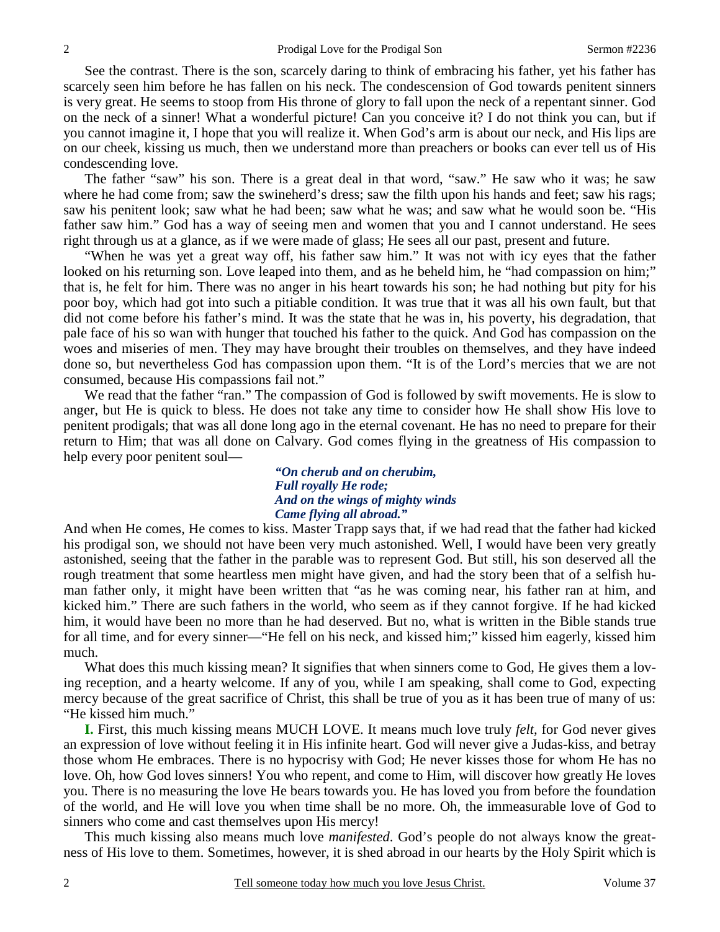See the contrast. There is the son, scarcely daring to think of embracing his father, yet his father has scarcely seen him before he has fallen on his neck. The condescension of God towards penitent sinners is very great. He seems to stoop from His throne of glory to fall upon the neck of a repentant sinner. God on the neck of a sinner! What a wonderful picture! Can you conceive it? I do not think you can, but if you cannot imagine it, I hope that you will realize it. When God's arm is about our neck, and His lips are on our cheek, kissing us much, then we understand more than preachers or books can ever tell us of His condescending love.

 The father "saw" his son. There is a great deal in that word, "saw." He saw who it was; he saw where he had come from; saw the swineherd's dress; saw the filth upon his hands and feet; saw his rags; saw his penitent look; saw what he had been; saw what he was; and saw what he would soon be. "His father saw him." God has a way of seeing men and women that you and I cannot understand. He sees right through us at a glance, as if we were made of glass; He sees all our past, present and future.

 "When he was yet a great way off, his father saw him." It was not with icy eyes that the father looked on his returning son. Love leaped into them, and as he beheld him, he "had compassion on him;" that is, he felt for him. There was no anger in his heart towards his son; he had nothing but pity for his poor boy, which had got into such a pitiable condition. It was true that it was all his own fault, but that did not come before his father's mind. It was the state that he was in, his poverty, his degradation, that pale face of his so wan with hunger that touched his father to the quick. And God has compassion on the woes and miseries of men. They may have brought their troubles on themselves, and they have indeed done so, but nevertheless God has compassion upon them. "It is of the Lord's mercies that we are not consumed, because His compassions fail not."

 We read that the father "ran." The compassion of God is followed by swift movements. He is slow to anger, but He is quick to bless. He does not take any time to consider how He shall show His love to penitent prodigals; that was all done long ago in the eternal covenant. He has no need to prepare for their return to Him; that was all done on Calvary. God comes flying in the greatness of His compassion to help every poor penitent soul—

> *"On cherub and on cherubim, Full royally He rode; And on the wings of mighty winds Came flying all abroad."*

And when He comes, He comes to kiss. Master Trapp says that, if we had read that the father had kicked his prodigal son, we should not have been very much astonished. Well, I would have been very greatly astonished, seeing that the father in the parable was to represent God. But still, his son deserved all the rough treatment that some heartless men might have given, and had the story been that of a selfish human father only, it might have been written that "as he was coming near, his father ran at him, and kicked him." There are such fathers in the world, who seem as if they cannot forgive. If he had kicked him, it would have been no more than he had deserved. But no, what is written in the Bible stands true for all time, and for every sinner—"He fell on his neck, and kissed him;" kissed him eagerly, kissed him much.

What does this much kissing mean? It signifies that when sinners come to God, He gives them a loving reception, and a hearty welcome. If any of you, while I am speaking, shall come to God, expecting mercy because of the great sacrifice of Christ, this shall be true of you as it has been true of many of us: "He kissed him much."

**I.** First, this much kissing means MUCH LOVE. It means much love truly *felt,* for God never gives an expression of love without feeling it in His infinite heart. God will never give a Judas-kiss, and betray those whom He embraces. There is no hypocrisy with God; He never kisses those for whom He has no love. Oh, how God loves sinners! You who repent, and come to Him, will discover how greatly He loves you. There is no measuring the love He bears towards you. He has loved you from before the foundation of the world, and He will love you when time shall be no more. Oh, the immeasurable love of God to sinners who come and cast themselves upon His mercy!

 This much kissing also means much love *manifested*. God's people do not always know the greatness of His love to them. Sometimes, however, it is shed abroad in our hearts by the Holy Spirit which is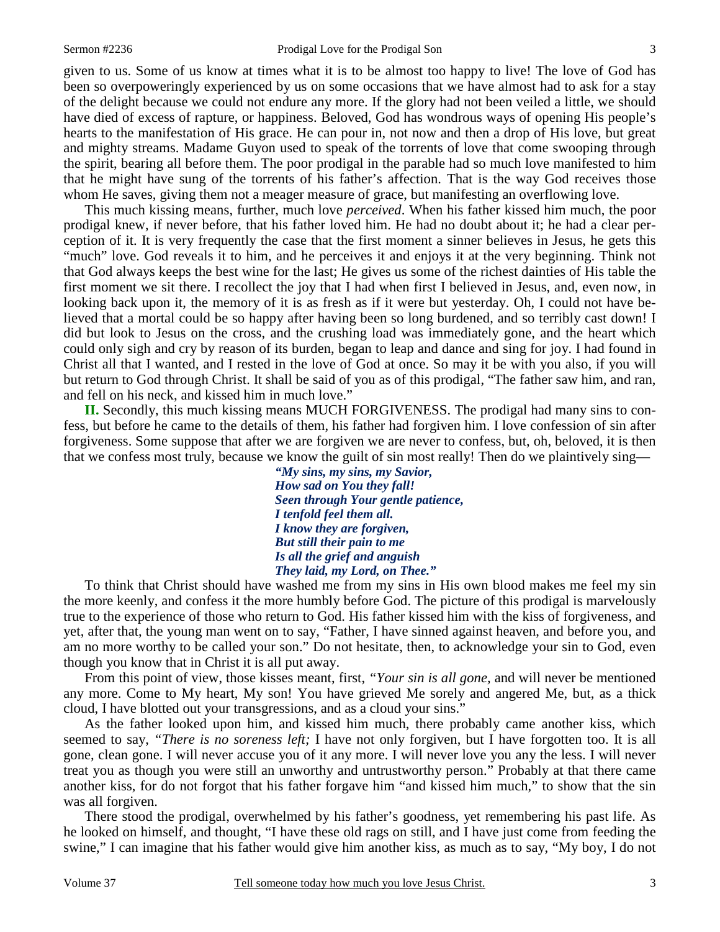given to us. Some of us know at times what it is to be almost too happy to live! The love of God has been so overpoweringly experienced by us on some occasions that we have almost had to ask for a stay of the delight because we could not endure any more. If the glory had not been veiled a little, we should have died of excess of rapture, or happiness. Beloved, God has wondrous ways of opening His people's hearts to the manifestation of His grace. He can pour in, not now and then a drop of His love, but great and mighty streams. Madame Guyon used to speak of the torrents of love that come swooping through the spirit, bearing all before them. The poor prodigal in the parable had so much love manifested to him that he might have sung of the torrents of his father's affection. That is the way God receives those whom He saves, giving them not a meager measure of grace, but manifesting an overflowing love.

 This much kissing means, further, much love *perceived*. When his father kissed him much, the poor prodigal knew, if never before, that his father loved him. He had no doubt about it; he had a clear perception of it. It is very frequently the case that the first moment a sinner believes in Jesus, he gets this "much" love. God reveals it to him, and he perceives it and enjoys it at the very beginning. Think not that God always keeps the best wine for the last; He gives us some of the richest dainties of His table the first moment we sit there. I recollect the joy that I had when first I believed in Jesus, and, even now, in looking back upon it, the memory of it is as fresh as if it were but yesterday. Oh, I could not have believed that a mortal could be so happy after having been so long burdened, and so terribly cast down! I did but look to Jesus on the cross, and the crushing load was immediately gone, and the heart which could only sigh and cry by reason of its burden, began to leap and dance and sing for joy. I had found in Christ all that I wanted, and I rested in the love of God at once. So may it be with you also, if you will but return to God through Christ. It shall be said of you as of this prodigal, "The father saw him, and ran, and fell on his neck, and kissed him in much love."

**II.** Secondly, this much kissing means MUCH FORGIVENESS. The prodigal had many sins to confess, but before he came to the details of them, his father had forgiven him. I love confession of sin after forgiveness. Some suppose that after we are forgiven we are never to confess, but, oh, beloved, it is then that we confess most truly, because we know the guilt of sin most really! Then do we plaintively sing—

> *"My sins, my sins, my Savior, How sad on You they fall! Seen through Your gentle patience, I tenfold feel them all. I know they are forgiven, But still their pain to me Is all the grief and anguish They laid, my Lord, on Thee."*

To think that Christ should have washed me from my sins in His own blood makes me feel my sin the more keenly, and confess it the more humbly before God. The picture of this prodigal is marvelously true to the experience of those who return to God. His father kissed him with the kiss of forgiveness, and yet, after that, the young man went on to say, "Father, I have sinned against heaven, and before you, and am no more worthy to be called your son." Do not hesitate, then, to acknowledge your sin to God, even though you know that in Christ it is all put away.

 From this point of view, those kisses meant, first, *"Your sin is all gone,* and will never be mentioned any more. Come to My heart, My son! You have grieved Me sorely and angered Me, but, as a thick cloud, I have blotted out your transgressions, and as a cloud your sins."

 As the father looked upon him, and kissed him much, there probably came another kiss, which seemed to say, *"There is no soreness left;* I have not only forgiven, but I have forgotten too. It is all gone, clean gone. I will never accuse you of it any more. I will never love you any the less. I will never treat you as though you were still an unworthy and untrustworthy person." Probably at that there came another kiss, for do not forgot that his father forgave him "and kissed him much," to show that the sin was all forgiven.

 There stood the prodigal, overwhelmed by his father's goodness, yet remembering his past life. As he looked on himself, and thought, "I have these old rags on still, and I have just come from feeding the swine," I can imagine that his father would give him another kiss, as much as to say, "My boy, I do not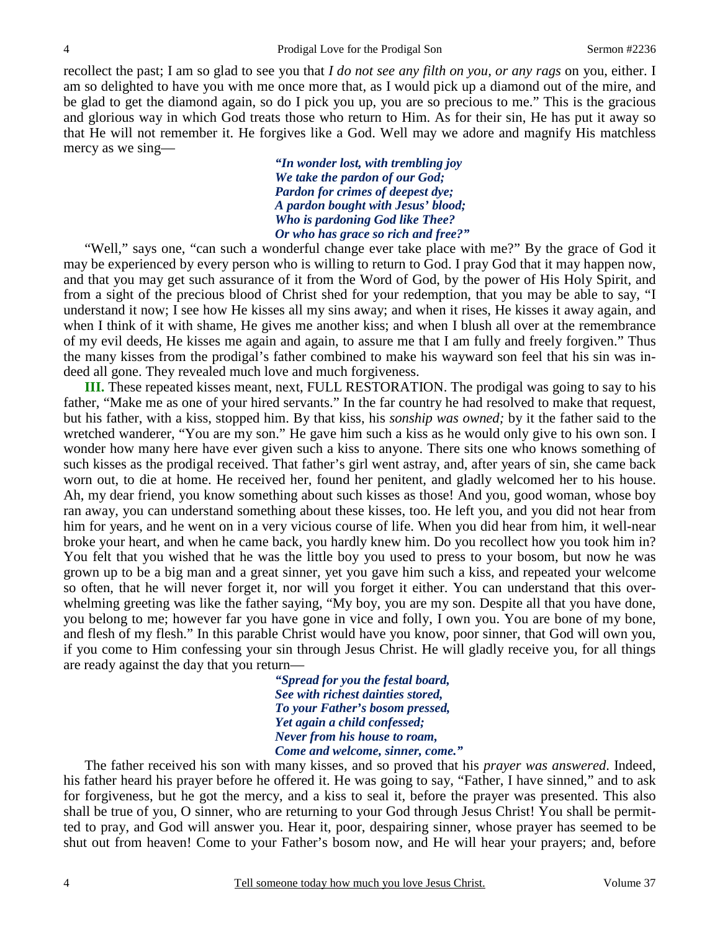recollect the past; I am so glad to see you that *I do not see any filth on you, or any rags* on you, either. I am so delighted to have you with me once more that, as I would pick up a diamond out of the mire, and be glad to get the diamond again, so do I pick you up, you are so precious to me." This is the gracious and glorious way in which God treats those who return to Him. As for their sin, He has put it away so that He will not remember it. He forgives like a God. Well may we adore and magnify His matchless mercy as we sing—

> *"In wonder lost, with trembling joy We take the pardon of our God; Pardon for crimes of deepest dye; A pardon bought with Jesus' blood; Who is pardoning God like Thee? Or who has grace so rich and free?"*

"Well," says one, "can such a wonderful change ever take place with me?" By the grace of God it may be experienced by every person who is willing to return to God. I pray God that it may happen now, and that you may get such assurance of it from the Word of God, by the power of His Holy Spirit, and from a sight of the precious blood of Christ shed for your redemption, that you may be able to say, "I understand it now; I see how He kisses all my sins away; and when it rises, He kisses it away again, and when I think of it with shame, He gives me another kiss; and when I blush all over at the remembrance of my evil deeds, He kisses me again and again, to assure me that I am fully and freely forgiven." Thus the many kisses from the prodigal's father combined to make his wayward son feel that his sin was indeed all gone. They revealed much love and much forgiveness.

**III.** These repeated kisses meant, next, FULL RESTORATION. The prodigal was going to say to his father, "Make me as one of your hired servants." In the far country he had resolved to make that request, but his father, with a kiss, stopped him. By that kiss, his *sonship was owned;* by it the father said to the wretched wanderer, "You are my son." He gave him such a kiss as he would only give to his own son. I wonder how many here have ever given such a kiss to anyone. There sits one who knows something of such kisses as the prodigal received. That father's girl went astray, and, after years of sin, she came back worn out, to die at home. He received her, found her penitent, and gladly welcomed her to his house. Ah, my dear friend, you know something about such kisses as those! And you, good woman, whose boy ran away, you can understand something about these kisses, too. He left you, and you did not hear from him for years, and he went on in a very vicious course of life. When you did hear from him, it well-near broke your heart, and when he came back, you hardly knew him. Do you recollect how you took him in? You felt that you wished that he was the little boy you used to press to your bosom, but now he was grown up to be a big man and a great sinner, yet you gave him such a kiss, and repeated your welcome so often, that he will never forget it, nor will you forget it either. You can understand that this overwhelming greeting was like the father saying, "My boy, you are my son. Despite all that you have done, you belong to me; however far you have gone in vice and folly, I own you. You are bone of my bone, and flesh of my flesh." In this parable Christ would have you know, poor sinner, that God will own you, if you come to Him confessing your sin through Jesus Christ. He will gladly receive you, for all things are ready against the day that you return—

> *"Spread for you the festal board, See with richest dainties stored, To your Father's bosom pressed, Yet again a child confessed; Never from his house to roam, Come and welcome, sinner, come."*

The father received his son with many kisses, and so proved that his *prayer was answered*. Indeed, his father heard his prayer before he offered it. He was going to say, "Father, I have sinned," and to ask for forgiveness, but he got the mercy, and a kiss to seal it, before the prayer was presented. This also shall be true of you, O sinner, who are returning to your God through Jesus Christ! You shall be permitted to pray, and God will answer you. Hear it, poor, despairing sinner, whose prayer has seemed to be shut out from heaven! Come to your Father's bosom now, and He will hear your prayers; and, before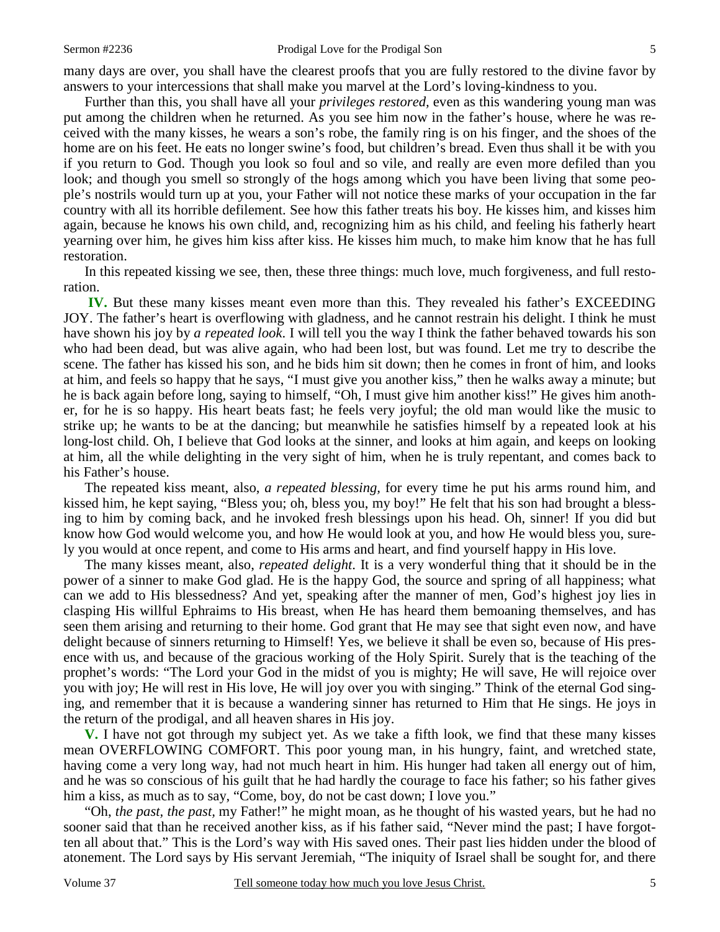many days are over, you shall have the clearest proofs that you are fully restored to the divine favor by answers to your intercessions that shall make you marvel at the Lord's loving-kindness to you.

 Further than this, you shall have all your *privileges restored,* even as this wandering young man was put among the children when he returned. As you see him now in the father's house, where he was received with the many kisses, he wears a son's robe, the family ring is on his finger, and the shoes of the home are on his feet. He eats no longer swine's food, but children's bread. Even thus shall it be with you if you return to God. Though you look so foul and so vile, and really are even more defiled than you look; and though you smell so strongly of the hogs among which you have been living that some people's nostrils would turn up at you, your Father will not notice these marks of your occupation in the far country with all its horrible defilement. See how this father treats his boy. He kisses him, and kisses him again, because he knows his own child, and, recognizing him as his child, and feeling his fatherly heart yearning over him, he gives him kiss after kiss. He kisses him much, to make him know that he has full restoration.

 In this repeated kissing we see, then, these three things: much love, much forgiveness, and full restoration.

 **IV.** But these many kisses meant even more than this. They revealed his father's EXCEEDING JOY. The father's heart is overflowing with gladness, and he cannot restrain his delight. I think he must have shown his joy by *a repeated look*. I will tell you the way I think the father behaved towards his son who had been dead, but was alive again, who had been lost, but was found. Let me try to describe the scene. The father has kissed his son, and he bids him sit down; then he comes in front of him, and looks at him, and feels so happy that he says, "I must give you another kiss," then he walks away a minute; but he is back again before long, saying to himself, "Oh, I must give him another kiss!" He gives him another, for he is so happy. His heart beats fast; he feels very joyful; the old man would like the music to strike up; he wants to be at the dancing; but meanwhile he satisfies himself by a repeated look at his long-lost child. Oh, I believe that God looks at the sinner, and looks at him again, and keeps on looking at him, all the while delighting in the very sight of him, when he is truly repentant, and comes back to his Father's house.

 The repeated kiss meant, also, *a repeated blessing,* for every time he put his arms round him, and kissed him, he kept saying, "Bless you; oh, bless you, my boy!" He felt that his son had brought a blessing to him by coming back, and he invoked fresh blessings upon his head. Oh, sinner! If you did but know how God would welcome you, and how He would look at you, and how He would bless you, surely you would at once repent, and come to His arms and heart, and find yourself happy in His love.

 The many kisses meant, also, *repeated delight*. It is a very wonderful thing that it should be in the power of a sinner to make God glad. He is the happy God, the source and spring of all happiness; what can we add to His blessedness? And yet, speaking after the manner of men, God's highest joy lies in clasping His willful Ephraims to His breast, when He has heard them bemoaning themselves, and has seen them arising and returning to their home. God grant that He may see that sight even now, and have delight because of sinners returning to Himself! Yes, we believe it shall be even so, because of His presence with us, and because of the gracious working of the Holy Spirit. Surely that is the teaching of the prophet's words: "The Lord your God in the midst of you is mighty; He will save, He will rejoice over you with joy; He will rest in His love, He will joy over you with singing." Think of the eternal God singing, and remember that it is because a wandering sinner has returned to Him that He sings. He joys in the return of the prodigal, and all heaven shares in His joy.

**V.** I have not got through my subject yet. As we take a fifth look, we find that these many kisses mean OVERFLOWING COMFORT. This poor young man, in his hungry, faint, and wretched state, having come a very long way, had not much heart in him. His hunger had taken all energy out of him, and he was so conscious of his guilt that he had hardly the courage to face his father; so his father gives him a kiss, as much as to say, "Come, boy, do not be cast down; I love you."

 "Oh, *the past, the past,* my Father!" he might moan, as he thought of his wasted years, but he had no sooner said that than he received another kiss, as if his father said, "Never mind the past; I have forgotten all about that." This is the Lord's way with His saved ones. Their past lies hidden under the blood of atonement. The Lord says by His servant Jeremiah, "The iniquity of Israel shall be sought for, and there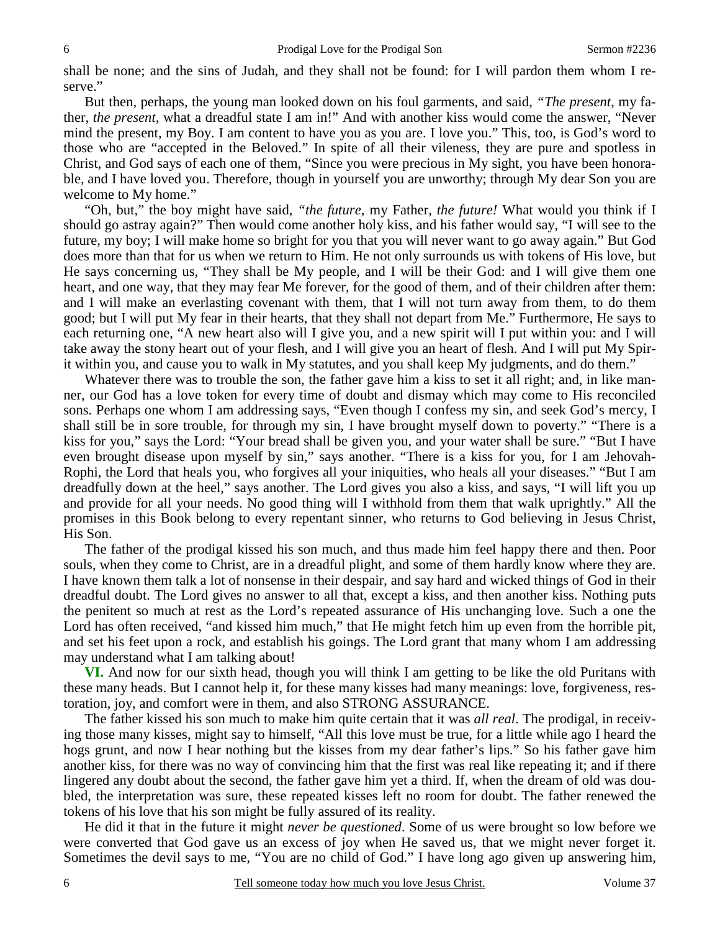shall be none; and the sins of Judah, and they shall not be found: for I will pardon them whom I reserve."

 But then, perhaps, the young man looked down on his foul garments, and said, *"The present*, my father, *the present,* what a dreadful state I am in!" And with another kiss would come the answer, "Never mind the present, my Boy. I am content to have you as you are. I love you." This, too, is God's word to those who are "accepted in the Beloved." In spite of all their vileness, they are pure and spotless in Christ, and God says of each one of them, "Since you were precious in My sight, you have been honorable, and I have loved you. Therefore, though in yourself you are unworthy; through My dear Son you are welcome to My home."

 "Oh, but," the boy might have said, *"the future,* my Father, *the future!* What would you think if I should go astray again?" Then would come another holy kiss, and his father would say, "I will see to the future, my boy; I will make home so bright for you that you will never want to go away again." But God does more than that for us when we return to Him. He not only surrounds us with tokens of His love, but He says concerning us, "They shall be My people, and I will be their God: and I will give them one heart, and one way, that they may fear Me forever, for the good of them, and of their children after them: and I will make an everlasting covenant with them, that I will not turn away from them, to do them good; but I will put My fear in their hearts, that they shall not depart from Me." Furthermore, He says to each returning one, "A new heart also will I give you, and a new spirit will I put within you: and I will take away the stony heart out of your flesh, and I will give you an heart of flesh. And I will put My Spirit within you, and cause you to walk in My statutes, and you shall keep My judgments, and do them."

Whatever there was to trouble the son, the father gave him a kiss to set it all right; and, in like manner, our God has a love token for every time of doubt and dismay which may come to His reconciled sons. Perhaps one whom I am addressing says, "Even though I confess my sin, and seek God's mercy, I shall still be in sore trouble, for through my sin, I have brought myself down to poverty." "There is a kiss for you," says the Lord: "Your bread shall be given you, and your water shall be sure." "But I have even brought disease upon myself by sin," says another. "There is a kiss for you, for I am Jehovah-Rophi, the Lord that heals you, who forgives all your iniquities, who heals all your diseases." "But I am dreadfully down at the heel," says another. The Lord gives you also a kiss, and says, "I will lift you up and provide for all your needs. No good thing will I withhold from them that walk uprightly." All the promises in this Book belong to every repentant sinner, who returns to God believing in Jesus Christ, His Son.

 The father of the prodigal kissed his son much, and thus made him feel happy there and then. Poor souls, when they come to Christ, are in a dreadful plight, and some of them hardly know where they are. I have known them talk a lot of nonsense in their despair, and say hard and wicked things of God in their dreadful doubt. The Lord gives no answer to all that, except a kiss, and then another kiss. Nothing puts the penitent so much at rest as the Lord's repeated assurance of His unchanging love. Such a one the Lord has often received, "and kissed him much," that He might fetch him up even from the horrible pit, and set his feet upon a rock, and establish his goings. The Lord grant that many whom I am addressing may understand what I am talking about!

**VI.** And now for our sixth head, though you will think I am getting to be like the old Puritans with these many heads. But I cannot help it, for these many kisses had many meanings: love, forgiveness, restoration, joy, and comfort were in them, and also STRONG ASSURANCE.

 The father kissed his son much to make him quite certain that it was *all real*. The prodigal, in receiving those many kisses, might say to himself, "All this love must be true, for a little while ago I heard the hogs grunt, and now I hear nothing but the kisses from my dear father's lips." So his father gave him another kiss, for there was no way of convincing him that the first was real like repeating it; and if there lingered any doubt about the second, the father gave him yet a third. If, when the dream of old was doubled, the interpretation was sure, these repeated kisses left no room for doubt. The father renewed the tokens of his love that his son might be fully assured of its reality.

 He did it that in the future it might *never be questioned*. Some of us were brought so low before we were converted that God gave us an excess of joy when He saved us, that we might never forget it. Sometimes the devil says to me, "You are no child of God." I have long ago given up answering him,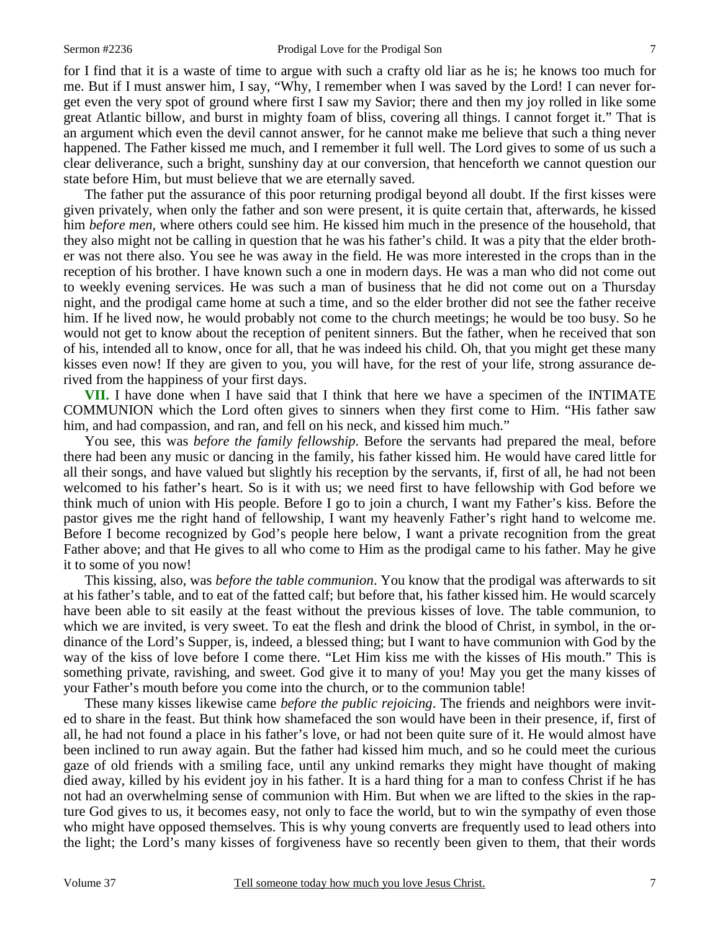clear deliverance, such a bright, sunshiny day at our conversion, that henceforth we cannot question our

for I find that it is a waste of time to argue with such a crafty old liar as he is; he knows too much for me. But if I must answer him, I say, "Why, I remember when I was saved by the Lord! I can never forget even the very spot of ground where first I saw my Savior; there and then my joy rolled in like some great Atlantic billow, and burst in mighty foam of bliss, covering all things. I cannot forget it." That is an argument which even the devil cannot answer, for he cannot make me believe that such a thing never happened. The Father kissed me much, and I remember it full well. The Lord gives to some of us such a

state before Him, but must believe that we are eternally saved. The father put the assurance of this poor returning prodigal beyond all doubt. If the first kisses were given privately, when only the father and son were present, it is quite certain that, afterwards, he kissed him *before men,* where others could see him. He kissed him much in the presence of the household, that they also might not be calling in question that he was his father's child. It was a pity that the elder brother was not there also. You see he was away in the field. He was more interested in the crops than in the reception of his brother. I have known such a one in modern days. He was a man who did not come out to weekly evening services. He was such a man of business that he did not come out on a Thursday night, and the prodigal came home at such a time, and so the elder brother did not see the father receive him. If he lived now, he would probably not come to the church meetings; he would be too busy. So he would not get to know about the reception of penitent sinners. But the father, when he received that son of his, intended all to know, once for all, that he was indeed his child. Oh, that you might get these many kisses even now! If they are given to you, you will have, for the rest of your life, strong assurance derived from the happiness of your first days.

**VII.** I have done when I have said that I think that here we have a specimen of the INTIMATE COMMUNION which the Lord often gives to sinners when they first come to Him. "His father saw him, and had compassion, and ran, and fell on his neck, and kissed him much."

 You see, this was *before the family fellowship*. Before the servants had prepared the meal, before there had been any music or dancing in the family, his father kissed him. He would have cared little for all their songs, and have valued but slightly his reception by the servants, if, first of all, he had not been welcomed to his father's heart. So is it with us; we need first to have fellowship with God before we think much of union with His people. Before I go to join a church, I want my Father's kiss. Before the pastor gives me the right hand of fellowship, I want my heavenly Father's right hand to welcome me. Before I become recognized by God's people here below, I want a private recognition from the great Father above; and that He gives to all who come to Him as the prodigal came to his father. May he give it to some of you now!

 This kissing, also, was *before the table communion*. You know that the prodigal was afterwards to sit at his father's table, and to eat of the fatted calf; but before that, his father kissed him. He would scarcely have been able to sit easily at the feast without the previous kisses of love. The table communion, to which we are invited, is very sweet. To eat the flesh and drink the blood of Christ, in symbol, in the ordinance of the Lord's Supper, is, indeed, a blessed thing; but I want to have communion with God by the way of the kiss of love before I come there. "Let Him kiss me with the kisses of His mouth." This is something private, ravishing, and sweet. God give it to many of you! May you get the many kisses of your Father's mouth before you come into the church, or to the communion table!

 These many kisses likewise came *before the public rejoicing*. The friends and neighbors were invited to share in the feast. But think how shamefaced the son would have been in their presence, if, first of all, he had not found a place in his father's love, or had not been quite sure of it. He would almost have been inclined to run away again. But the father had kissed him much, and so he could meet the curious gaze of old friends with a smiling face, until any unkind remarks they might have thought of making died away, killed by his evident joy in his father. It is a hard thing for a man to confess Christ if he has not had an overwhelming sense of communion with Him. But when we are lifted to the skies in the rapture God gives to us, it becomes easy, not only to face the world, but to win the sympathy of even those who might have opposed themselves. This is why young converts are frequently used to lead others into the light; the Lord's many kisses of forgiveness have so recently been given to them, that their words